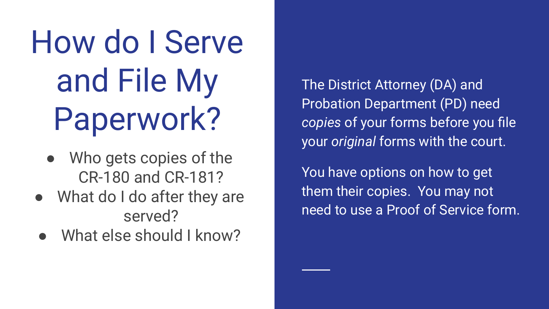# How do I Serve and File My Paperwork?

- Who gets copies of the CR-180 and CR-181?
- What do I do after they are served?
- What else should I know?

The District Attorney (DA) and Probation Department (PD) need *copies* of your forms before you file your *original* forms with the court.

You have options on how to get them their copies. You may not need to use a Proof of Service form.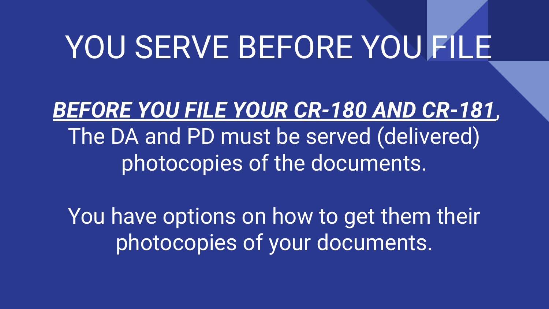## YOU SERVE BEFORE YOU FILE

*BEFORE YOU FILE YOUR CR-180 AND CR-181*, The DA and PD must be served (delivered) photocopies of the documents.

You have options on how to get them their photocopies of your documents.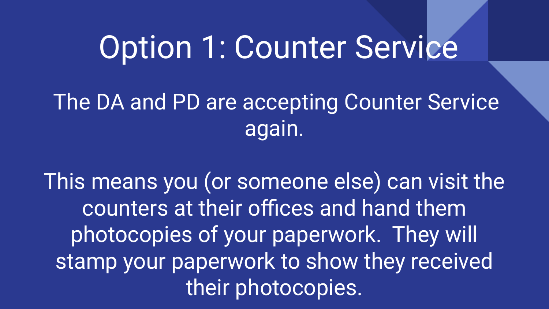### Option 1: Counter Service

### The DA and PD are accepting Counter Service again.

This means you (or someone else) can visit the counters at their offices and hand them photocopies of your paperwork. They will stamp your paperwork to show they received their photocopies.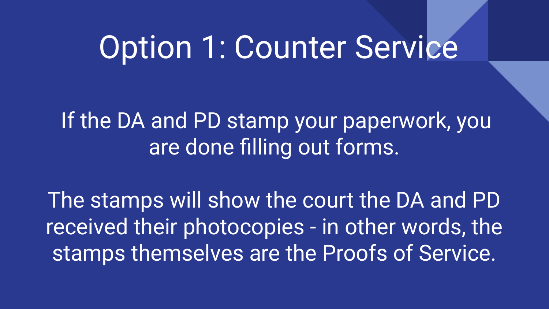### Option 1: Counter Service

If the DA and PD stamp your paperwork, you are done filling out forms.

The stamps will show the court the DA and PD received their photocopies - in other words, the stamps themselves are the Proofs of Service.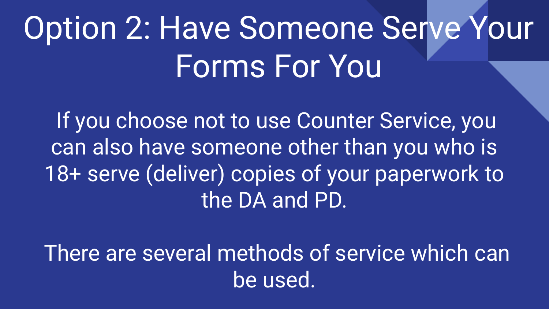# Option 2: Have Someone Serve Your Forms For You

If you choose not to use Counter Service, you can also have someone other than you who is 18+ serve (deliver) copies of your paperwork to the DA and PD.

There are several methods of service which can be used.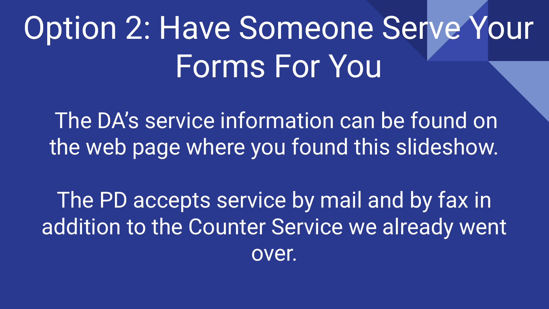# Option 2: Have Someone Serve Your Forms For You

The DA's service information can be found on the web page where you found this slideshow.

The PD accepts service by mail and by fax in addition to the Counter Service we already went over.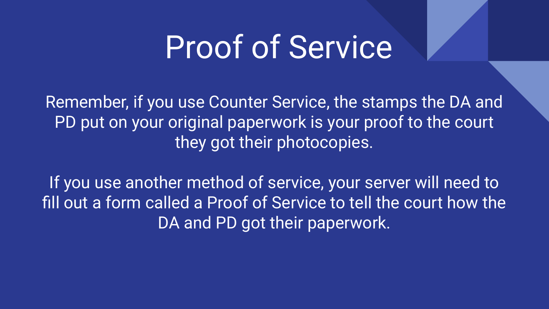Remember, if you use Counter Service, the stamps the DA and PD put on your original paperwork is your proof to the court they got their photocopies.

If you use another method of service, your server will need to fill out a form called a Proof of Service to tell the court how the DA and PD got their paperwork.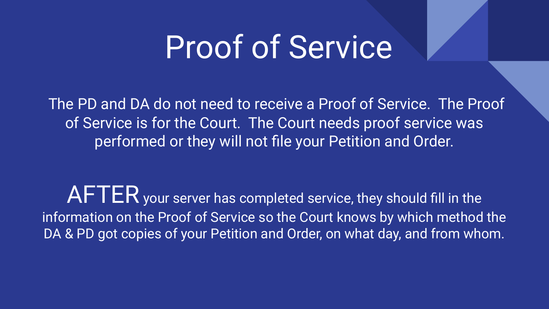The PD and DA do not need to receive a Proof of Service. The Proof of Service is for the Court. The Court needs proof service was performed or they will not file your Petition and Order.

AFTER your server has completed service, they should fill in the information on the Proof of Service so the Court knows by which method the DA & PD got copies of your Petition and Order, on what day, and from whom.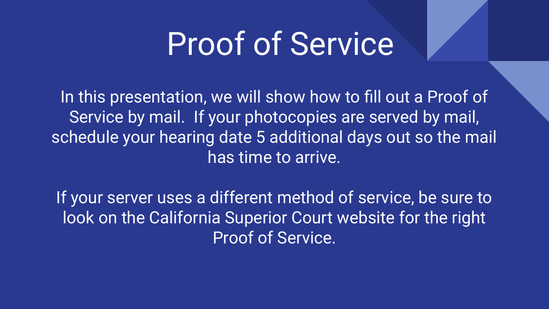In this presentation, we will show how to fill out a Proof of Service by mail. If your photocopies are served by mail, schedule your hearing date 5 additional days out so the mail has time to arrive.

If your server uses a different method of service, be sure to look on the California Superior Court website for the right Proof of Service.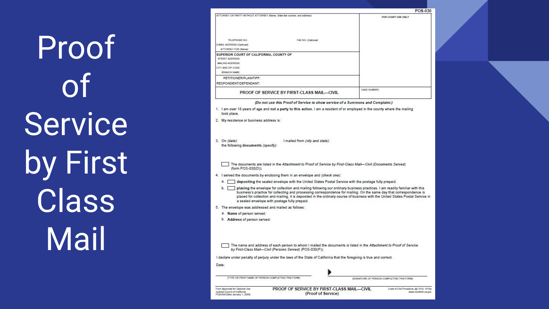Proof of Service by First **Class** Mail

|                                                                                                                                                                                                                                                                                                                                                                                                                                          | POS-030            |
|------------------------------------------------------------------------------------------------------------------------------------------------------------------------------------------------------------------------------------------------------------------------------------------------------------------------------------------------------------------------------------------------------------------------------------------|--------------------|
| ATTORNEY OR PARTY WITHOUT ATTORNEY (Name, State Bar number, and address).                                                                                                                                                                                                                                                                                                                                                                | FOR COURT USE ONLY |
|                                                                                                                                                                                                                                                                                                                                                                                                                                          |                    |
| TELEPHONE NO :<br>FAX NO. (Optional).                                                                                                                                                                                                                                                                                                                                                                                                    |                    |
| E-MAIL ADDRESS (Optional)                                                                                                                                                                                                                                                                                                                                                                                                                |                    |
| ATTORNEY FOR (Name):                                                                                                                                                                                                                                                                                                                                                                                                                     |                    |
| SUPERIOR COURT OF CALIFORNIA, COUNTY OF<br><b>STREET ADDRESS:</b>                                                                                                                                                                                                                                                                                                                                                                        |                    |
| MAILING ADDRESS:                                                                                                                                                                                                                                                                                                                                                                                                                         |                    |
| CITY AND ZIP CODE:                                                                                                                                                                                                                                                                                                                                                                                                                       |                    |
| BRANCH NAME:                                                                                                                                                                                                                                                                                                                                                                                                                             |                    |
| PETITIONER/PLAINTIFF:<br>RESPONDENT/DEFENDANT:                                                                                                                                                                                                                                                                                                                                                                                           |                    |
| PROOF OF SERVICE BY FIRST-CLASS MAIL-CIVIL                                                                                                                                                                                                                                                                                                                                                                                               | CASE NUMBER:       |
| (Do not use this Proof of Service to show service of a Summons and Complaint.)                                                                                                                                                                                                                                                                                                                                                           |                    |
| 1. I am over 18 years of age and not a party to this action. I am a resident of or employed in the county where the mailing<br>took place.                                                                                                                                                                                                                                                                                               |                    |
| 2. My residence or business address is:                                                                                                                                                                                                                                                                                                                                                                                                  |                    |
| 3. On (date):<br>I mailed from (city and state):<br>the following documents (specify):                                                                                                                                                                                                                                                                                                                                                   |                    |
| The documents are listed in the Attachment to Proof of Service by First-Class Mail-Civil (Documents Served)<br>(form POS-030(D)).                                                                                                                                                                                                                                                                                                        |                    |
| 4. I served the documents by enclosing them in an envelope and (check one):                                                                                                                                                                                                                                                                                                                                                              |                    |
| a. depositing the sealed envelope with the United States Postal Service with the postage fully prepaid.                                                                                                                                                                                                                                                                                                                                  |                    |
| b. placing the envelope for collection and mailing following our ordinary business practices. I am readily familiar with this<br>business's practice for collecting and processing correspondence for mailing. On the same day that correspondence is<br>placed for collection and mailing, it is deposited in the ordinary course of business with the United States Postal Service in<br>a sealed envelope with postage fully prepaid. |                    |
| 5. The envelope was addressed and mailed as follows:                                                                                                                                                                                                                                                                                                                                                                                     |                    |
| a. Name of person served:                                                                                                                                                                                                                                                                                                                                                                                                                |                    |
| b. Address of person served:                                                                                                                                                                                                                                                                                                                                                                                                             |                    |
| The name and address of each person to whom I mailed the documents is listed in the Attachment to Proof of Service<br>by First-Class Mail-Civil (Persons Served) (POS-030(P)).                                                                                                                                                                                                                                                           |                    |
| I declare under penalty of perjury under the laws of the State of California that the foregoing is true and correct.                                                                                                                                                                                                                                                                                                                     |                    |
| Date:                                                                                                                                                                                                                                                                                                                                                                                                                                    |                    |
|                                                                                                                                                                                                                                                                                                                                                                                                                                          |                    |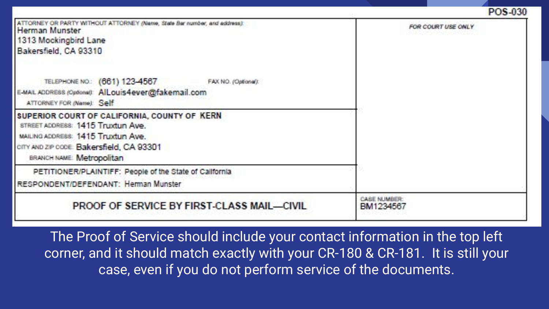#### POS-030

| ATTORNEY OR PARTY WITHOUT ATTORNEY (Name, State Bar number, and address):<br>Herman Munster<br>1313 Mockingbird Lane<br>Bakersfield, CA 93310                                                     | FOR COURT USE ONLY       |
|---------------------------------------------------------------------------------------------------------------------------------------------------------------------------------------------------|--------------------------|
| TELEPHONE NO.: (661) 123-4567 FAX NO. (Optional):<br>E-MAIL ADDRESS (Optional): AlLouis4ever@fakemail.com<br>ATTORNEY FOR (Name): Self                                                            |                          |
| SUPERIOR COURT OF CALIFORNIA, COUNTY OF KERN<br>STREET ADDRESS: 1415 Truxtun Ave.<br>MAILING ADDRESS: 1415 Truxturn Ave.<br>CITY AND ZIP CODE: Bakersfield, CA 93301<br>BRANCH NAME: Metropolitan |                          |
| PETITIONER/PLAINTIFF: People of the State of California<br>RESPONDENT/DEFENDANT: Herman Munster                                                                                                   |                          |
| PROOF OF SERVICE BY FIRST-CLASS MAIL-CIVIL                                                                                                                                                        | CASE NUMBER<br>BM1234567 |

The Proof of Service should include your contact information in the top left corner, and it should match exactly with your CR-180 & CR-181. It is still your case, even if you do not perform service of the documents.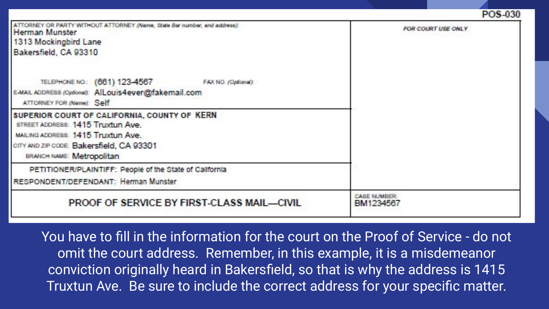#### POS-030

| ATTORNEY OR PARTY WITHOUT ATTORNEY (Name, State Bar number, and address):<br>Herman Munster<br>1313 Mockingbird Lane<br>Bakersfield, CA 93310                                                     | FOR COURT USE ONLY              |
|---------------------------------------------------------------------------------------------------------------------------------------------------------------------------------------------------|---------------------------------|
| TELEPHONE NO.: (661) 123-4567 FAX NO. (Optional):<br>E-MAIL ADDRESS (Optional) AILouis4ever@fakemail.com<br>ATTORNEY FOR (Name): Self                                                             |                                 |
| SUPERIOR COURT OF CALIFORNIA, COUNTY OF KERN<br>STREET ADDRESS: 1415 Truxtun Ave.<br>MAILING ADDRESS: 1415 Truxturn Ave.<br>CITY AND ZIP CODE: Bakersfield, CA 93301<br>BRANCH NAME: Metropolitan |                                 |
| PETITIONER/PLAINTIFF: People of the State of California<br>RESPONDENT/DEFENDANT: Herman Munster                                                                                                   |                                 |
| PROOF OF SERVICE BY FIRST-CLASS MAIL-CIVIL                                                                                                                                                        | <b>CASE NUMBER</b><br>BM1234567 |

You have to fill in the information for the court on the Proof of Service - do not omit the court address. Remember, in this example, it is a misdemeanor conviction originally heard in Bakersfield, so that is why the address is 1415 Truxtun Ave. Be sure to include the correct address for your specific matter.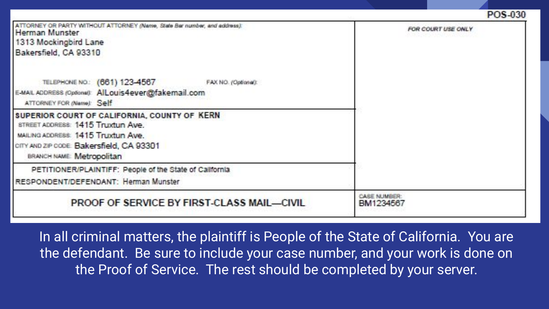|  |  | POS-030 |  |
|--|--|---------|--|
|  |  |         |  |

| ATTORNEY OR PARTY WITHOUT ATTORNEY (Name, State Bar number, and address):<br>Herman Munster | FOR COURT USE ONLY       |  |
|---------------------------------------------------------------------------------------------|--------------------------|--|
| 1313 Mockingbird Lane                                                                       |                          |  |
| Bakersfield, CA 93310                                                                       |                          |  |
|                                                                                             |                          |  |
| TELEPHONE NO.: (661) 123-4567<br>FAX NO. (Optional).                                        |                          |  |
| E-MAIL ADDRESS (Optional) AILouis4ever@fakemail.com                                         |                          |  |
| ATTORNEY FOR (Name): Self                                                                   |                          |  |
| SUPERIOR COURT OF CALIFORNIA, COUNTY OF KERN                                                |                          |  |
| STREET ADDRESS: 1415 Truxtun Ave.                                                           |                          |  |
| MAILING ADDRESS: 1415 Truxturn Ave.                                                         |                          |  |
| CITY AND ZIP CODE: Bakersfield, CA 93301                                                    |                          |  |
| BRANCH NAME: Metropolitan                                                                   |                          |  |
| PETITIONER/PLAINTIFF: People of the State of California                                     |                          |  |
| RESPONDENT/DEFENDANT: Herman Munster                                                        |                          |  |
| PROOF OF SERVICE BY FIRST-CLASS MAIL-CIVIL                                                  | CASE NUMBER<br>BM1234567 |  |
|                                                                                             |                          |  |

In all criminal matters, the plaintiff is People of the State of California. You are the defendant. Be sure to include your case number, and your work is done on the Proof of Service. The rest should be completed by your server.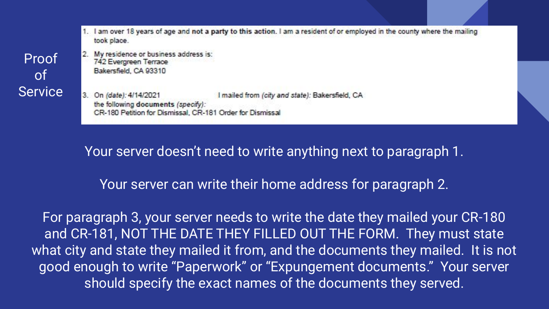1. I am over 18 years of age and not a party to this action. I am a resident of or employed in the county where the mailing took place.

2. My residence or business address is: 742 Evergreen Terrace Bakersfield, CA 93310

3. On (date): 4/14/2021 I mailed from (city and state): Bakersfield, CA the following documents (specify): CR-180 Petition for Dismissal, CR-181 Order for Dismissal

Your server doesn't need to write anything next to paragraph 1.

Your server can write their home address for paragraph 2.

For paragraph 3, your server needs to write the date they mailed your CR-180 and CR-181, NOT THE DATE THEY FILLED OUT THE FORM. They must state what city and state they mailed it from, and the documents they mailed. It is not good enough to write "Paperwork" or "Expungement documents." Your server should specify the exact names of the documents they served.

Proof of **Service**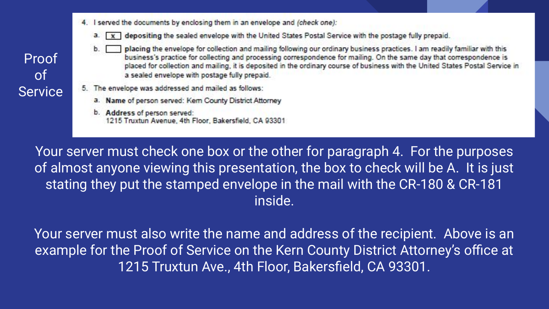4. I served the documents by enclosing them in an envelope and (check one):



- placing the envelope for collection and mailing following our ordinary business practices. I am readily familiar with this business's practice for collecting and processing correspondence for mailing. On the same day that correspondence is placed for collection and mailing, it is deposited in the ordinary course of business with the United States Postal Service in a sealed envelope with postage fully prepaid.
- 5. The envelope was addressed and mailed as follows:
	- a. Name of person served: Kem County District Attorney
	- b. Address of person served: 1215 Truxtun Avenue, 4th Floor, Bakersfield, CA 93301

Your server must check one box or the other for paragraph 4. For the purposes of almost anyone viewing this presentation, the box to check will be A. It is just stating they put the stamped envelope in the mail with the CR-180 & CR-181 inside.

Your server must also write the name and address of the recipient. Above is an example for the Proof of Service on the Kern County District Attorney's office at 1215 Truxtun Ave., 4th Floor, Bakersfield, CA 93301.

Proof of Service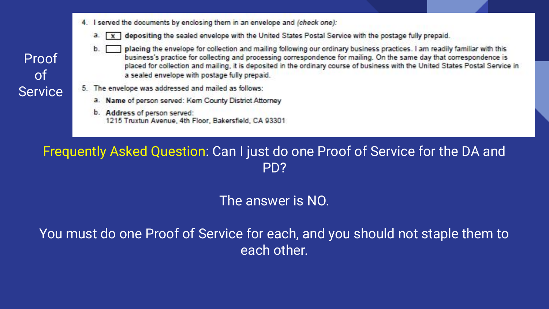4. I served the documents by enclosing them in an envelope and (check one):



- placing the envelope for collection and mailing following our ordinary business practices. I am readily familiar with this business's practice for collecting and processing correspondence for mailing. On the same day that correspondence is placed for collection and mailing, it is deposited in the ordinary course of business with the United States Postal Service in a sealed envelope with postage fully prepaid.
- 5. The envelope was addressed and mailed as follows:
	- a. Name of person served: Kem County District Attorney
	- b. Address of person served: 1215 Truxtun Avenue, 4th Floor, Bakersfield, CA 93301

#### Frequently Asked Question: Can I just do one Proof of Service for the DA and PD?

#### The answer is NO.

You must do one Proof of Service for each, and you should not staple them to each other.

Proof of Service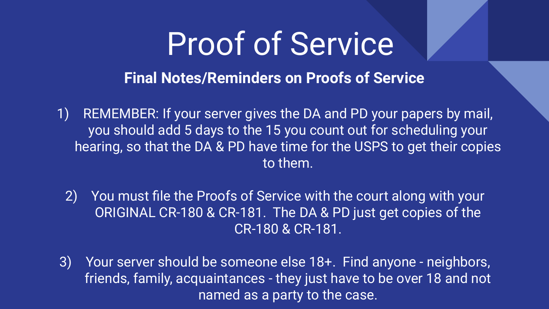**Final Notes/Reminders on Proofs of Service**

- 1) REMEMBER: If your server gives the DA and PD your papers by mail, you should add 5 days to the 15 you count out for scheduling your hearing, so that the DA & PD have time for the USPS to get their copies to them.
	- 2) You must file the Proofs of Service with the court along with your ORIGINAL CR-180 & CR-181. The DA & PD just get copies of the CR-180 & CR-181.
- 3) Your server should be someone else 18+. Find anyone neighbors, friends, family, acquaintances - they just have to be over 18 and not named as a party to the case.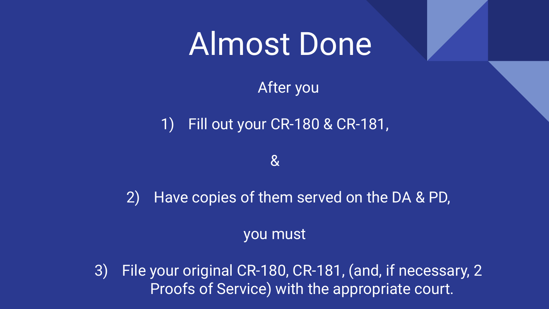### Almost Done

After you

1) Fill out your CR-180 & CR-181,

&

2) Have copies of them served on the DA & PD,

you must

3) File your original CR-180, CR-181, (and, if necessary, 2 Proofs of Service) with the appropriate court.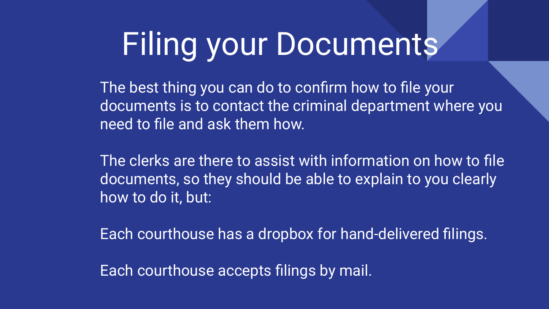# Filing your Documents

The best thing you can do to confirm how to file your documents is to contact the criminal department where you need to file and ask them how.

The clerks are there to assist with information on how to file documents, so they should be able to explain to you clearly how to do it, but:

Each courthouse has a dropbox for hand-delivered filings.

Each courthouse accepts filings by mail.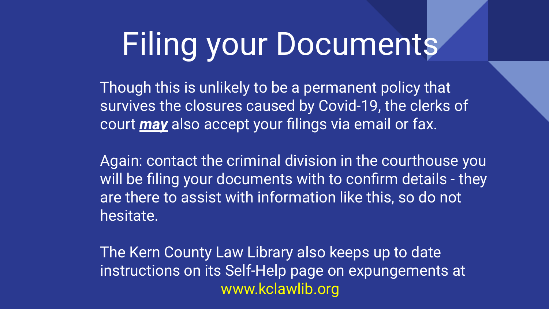# Filing your Documents

Though this is unlikely to be a permanent policy that survives the closures caused by Covid-19, the clerks of court *may* also accept your filings via email or fax.

Again: contact the criminal division in the courthouse you will be filing your documents with to confirm details - they are there to assist with information like this, so do not hesitate.

The Kern County Law Library also keeps up to date instructions on its Self-Help page on expungements at www.kclawlib.org